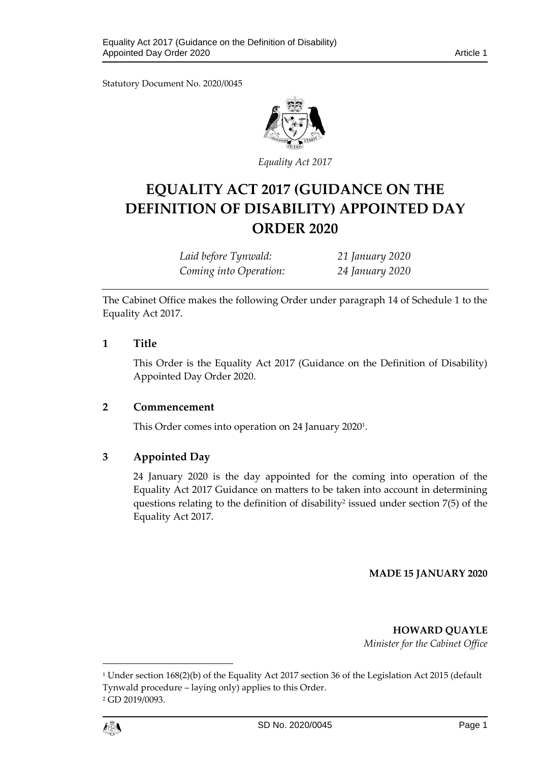Statutory Document No. 2020/0045



*Equality Act 2017*

# **EQUALITY ACT 2017 (GUIDANCE ON THE DEFINITION OF DISABILITY) APPOINTED DAY ORDER 2020**

*Laid before Tynwald: 21 January 2020 Coming into Operation: 24 January 2020*

The Cabinet Office makes the following Order under paragraph 14 of Schedule 1 to the Equality Act 2017.

## **1 Title**

This Order is the Equality Act 2017 (Guidance on the Definition of Disability) Appointed Day Order 2020.

## **2 Commencement**

This Order comes into operation on 24 January 2020<sup>1</sup> .

## **3 Appointed Day**

24 January 2020 is the day appointed for the coming into operation of the Equality Act 2017 Guidance on matters to be taken into account in determining questions relating to the definition of disability<sup>2</sup> issued under section  $7(5)$  of the Equality Act 2017.

#### **MADE 15 JANUARY 2020**

**HOWARD QUAYLE**

*Minister for the Cabinet Office*

<sup>1</sup> Under section 168(2)(b) of the Equality Act 2017 section 36 of the Legislation Act 2015 (default Tynwald procedure – laying only) applies to this Order. <sup>2</sup> GD 2019/0093.



1